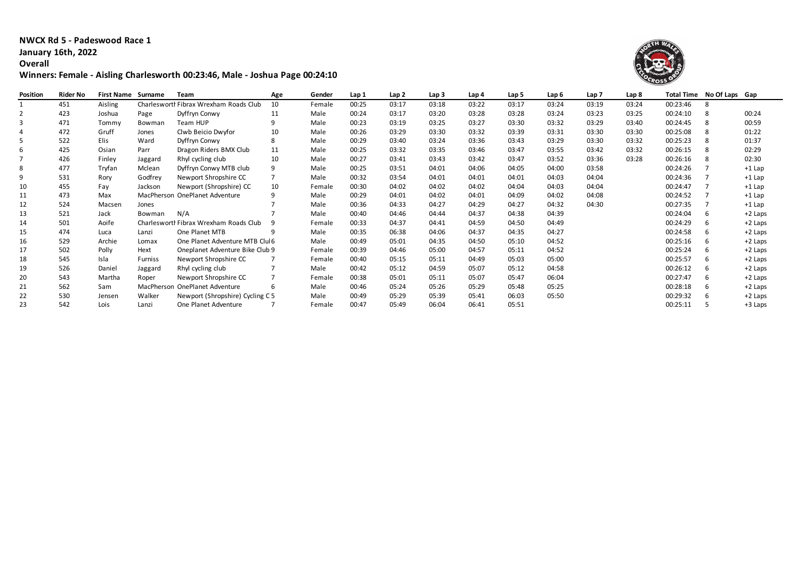## **NWCX Rd 5 - Padeswood Race 1 January 16th, 2022**

**Overall**

## **Winners: Female - Aisling Charlesworth 00:23:46, Male - Joshua Page 00:24:10**



| Position | <b>Rider No</b> | <b>First Name Surname</b> |                | Team                                   | Age | Gender | Lap 1 | Lap 2 | Lap <sub>3</sub> | Lap 4 | Lap 5 | Lap 6 | Lap 7 | Lap 8 |          | Total Time No Of Laps Gap |           |
|----------|-----------------|---------------------------|----------------|----------------------------------------|-----|--------|-------|-------|------------------|-------|-------|-------|-------|-------|----------|---------------------------|-----------|
|          | 451             | Aisling                   |                | Charlesworth Fibrax Wrexham Roads Club | 10  | Female | 00:25 | 03:17 | 03:18            | 03:22 | 03:17 | 03:24 | 03:19 | 03:24 | 00:23:46 | 8                         |           |
|          | 423             | Joshua                    | Page           | Dyffryn Conwy                          | 11  | Male   | 00:24 | 03:17 | 03:20            | 03:28 | 03:28 | 03:24 | 03:23 | 03:25 | 00:24:10 |                           | 00:24     |
|          | 471             | Tommy                     | Bowman         | Team HUP                               | 9   | Male   | 00:23 | 03:19 | 03:25            | 03:27 | 03:30 | 03:32 | 03:29 | 03:40 | 00:24:45 |                           | 00:59     |
|          | 472             | Gruff                     | Jones          | Clwb Beicio Dwyfor                     | 10  | Male   | 00:26 | 03:29 | 03:30            | 03:32 | 03:39 | 03:31 | 03:30 | 03:30 | 00:25:08 |                           | 01:22     |
|          | 522             | <b>Elis</b>               | Ward           | Dyffryn Conwy                          | 8   | Male   | 00:29 | 03:40 | 03:24            | 03:36 | 03:43 | 03:29 | 03:30 | 03:32 | 00:25:23 |                           | 01:37     |
| 6        | 425             | Osian                     | Parr           | Dragon Riders BMX Club                 | 11  | Male   | 00:25 | 03:32 | 03:35            | 03:46 | 03:47 | 03:55 | 03:42 | 03:32 | 00:26:15 |                           | 02:29     |
|          | 426             | Finley                    | Jaggard        | Rhyl cycling club                      | 10  | Male   | 00:27 | 03:41 | 03:43            | 03:42 | 03:47 | 03:52 | 03:36 | 03:28 | 00:26:16 |                           | 02:30     |
| 8        | 477             | Tryfan                    | Mclean         | Dyffryn Conwy MTB club                 | 9   | Male   | 00:25 | 03:51 | 04:01            | 04:06 | 04:05 | 04:00 | 03:58 |       | 00:24:26 |                           | $+1$ Lap  |
| 9        | 531             | Rory                      | Godfrey        | Newport Shropshire CC                  |     | Male   | 00:32 | 03:54 | 04:01            | 04:01 | 04:01 | 04:03 | 04:04 |       | 00:24:36 |                           | $+1$ Lap  |
| 10       | 455             | Fay                       | Jackson        | Newport (Shropshire) CC                | 10  | Female | 00:30 | 04:02 | 04:02            | 04:02 | 04:04 | 04:03 | 04:04 |       | 00:24:47 |                           | $+1$ Lap  |
| 11       | 473             | Max                       |                | MacPherson OnePlanet Adventure         |     | Male   | 00:29 | 04:01 | 04:02            | 04:01 | 04:09 | 04:02 | 04:08 |       | 00:24:52 |                           | $+1$ Lap  |
| 12       | 524             | Macsen                    | Jones          |                                        |     | Male   | 00:36 | 04:33 | 04:27            | 04:29 | 04:27 | 04:32 | 04:30 |       | 00:27:35 |                           | +1 Lap    |
| 13       | 521             | Jack                      | Bowman         | N/A                                    |     | Male   | 00:40 | 04:46 | 04:44            | 04:37 | 04:38 | 04:39 |       |       | 00:24:04 | 6                         | +2 Laps   |
| 14       | 501             | Aoife                     |                | Charlesworth Fibrax Wrexham Roads Club |     | Female | 00:33 | 04:37 | 04:41            | 04:59 | 04:50 | 04:49 |       |       | 00:24:29 |                           | $+2$ Laps |
| 15       | 474             | Luca                      | Lanzi          | One Planet MTB                         | q   | Male   | 00:35 | 06:38 | 04:06            | 04:37 | 04:35 | 04:27 |       |       | 00:24:58 |                           | +2 Laps   |
| 16       | 529             | Archie                    | Lomax          | One Planet Adventure MTB Clul 6        |     | Male   | 00:49 | 05:01 | 04:35            | 04:50 | 05:10 | 04:52 |       |       | 00:25:16 |                           | +2 Laps   |
| 17       | 502             | Polly                     | Hext           | Oneplanet Adventure Bike Club 9        |     | Female | 00:39 | 04:46 | 05:00            | 04:57 | 05:11 | 04:52 |       |       | 00:25:24 |                           | $+2$ Laps |
| 18       | 545             | Isla                      | <b>Furniss</b> | Newport Shropshire CC                  |     | Female | 00:40 | 05:15 | 05:11            | 04:49 | 05:03 | 05:00 |       |       | 00:25:57 | 6                         | +2 Laps   |
| 19       | 526             | Daniel                    | Jaggard        | Rhyl cycling club                      |     | Male   | 00:42 | 05:12 | 04:59            | 05:07 | 05:12 | 04:58 |       |       | 00:26:12 | 6                         | +2 Laps   |
| 20       | 543             | Martha                    | Roper          | Newport Shropshire CC                  |     | Female | 00:38 | 05:01 | 05:11            | 05:07 | 05:47 | 06:04 |       |       | 00:27:47 | 6                         | $+2$ Laps |
| 21       | 562             | Sam                       |                | MacPherson OnePlanet Adventure         | 6   | Male   | 00:46 | 05:24 | 05:26            | 05:29 | 05:48 | 05:25 |       |       | 00:28:18 |                           | +2 Laps   |
| 22       | 530             | Jensen                    | Walker         | Newport (Shropshire) Cycling C 5       |     | Male   | 00:49 | 05:29 | 05:39            | 05:41 | 06:03 | 05:50 |       |       | 00:29:32 | 6                         | +2 Laps   |
| 23       | 542             | Lois                      | Lanzi          | One Planet Adventure                   |     | Female | 00:47 | 05:49 | 06:04            | 06:41 | 05:51 |       |       |       | 00:25:11 |                           | +3 Laps   |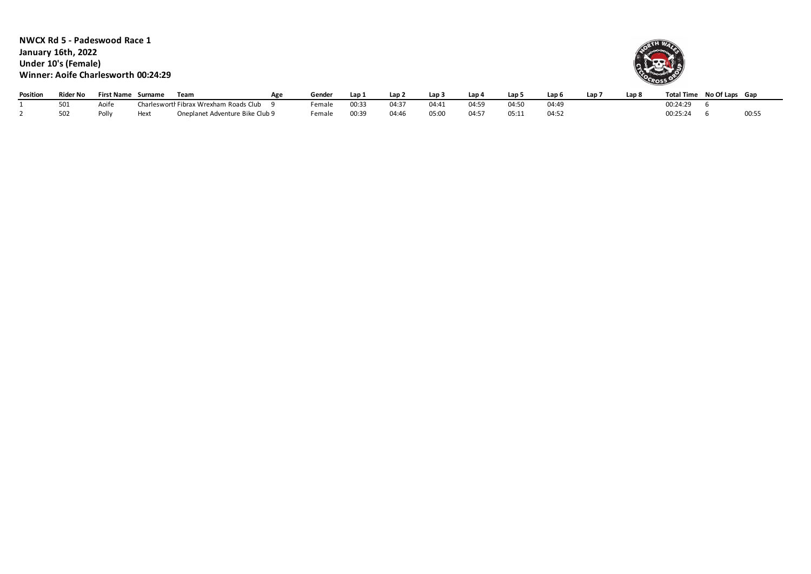**NWCX Rd 5 - Padeswood Race 1 January 16th, 2022 Under 10's (Female) Winner: Aoife Charlesworth 00:24:29**



| Position | Rider No | <b>First Name</b> | Surname | Team                                   | Agr | Gende  | Lap   | Lan 2      | Lap : | Lap 4 | Lap   | Lap 6 | Lap | Lap 8 | <b>Total Time</b> | No Of Laps Gap |                            |
|----------|----------|-------------------|---------|----------------------------------------|-----|--------|-------|------------|-------|-------|-------|-------|-----|-------|-------------------|----------------|----------------------------|
|          | 501      | Aoite             |         | Charlesworth Fibrax Wrexham Roads Club |     | Female | 00:33 | $04:3^{-}$ | 04:41 | 04:59 | 04:50 | 04:49 |     |       | 00:24:29          |                |                            |
|          | 502      | Polly             | Hext    | Oneplanet Adventure Bike Club 9        |     | Female | 00:39 | 04:46      | J5:00 | 04:5  | 05:1: | 04:52 |     |       | 00:25:24          |                | $\bigcap \cdot E$<br>UU.J. |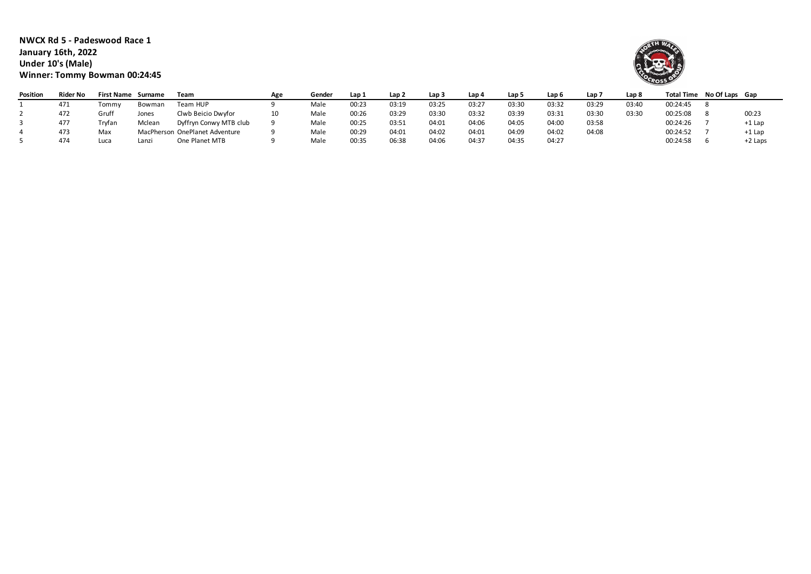**NWCX Rd 5 - Padeswood Race 1 January 16th, 2022 Under 10's (Male) Winner: Tommy Bowman 00:24:45**



| Position | <b>Rider No</b> | <b>First Name</b> | Surname | Team                           | Age | Gender | Lap 1 | Lap <sub>2</sub> | Lap <sub>3</sub> | Lap 4 | Lap 5 | Lap 6 | Lap ' | Lap 8 |          | Total Time No Of Laps Gap |          |
|----------|-----------------|-------------------|---------|--------------------------------|-----|--------|-------|------------------|------------------|-------|-------|-------|-------|-------|----------|---------------------------|----------|
|          | 471             | Tommy             | Bowman  | Team HUP                       |     | Male   | 00:23 | 03:19            | 03:25            | 03:27 | 03:30 | 03:32 | 03:29 | 03:40 | 00:24:45 |                           |          |
|          | 472             | Gruff             | Jones   | Clwb Beicio Dwyfor             | 10  | Male   | 00:26 | 03:29            | 03:30            | 03:32 | 03:39 | 03:31 | 03:30 | 03:30 | 00:25:08 |                           | 00:23    |
|          | 477             | Trvfan            | Mclean  | Dyffryn Conwy MTB club         |     | Male   | 00:25 | 03:51            | 04:01            | 04:06 | 04:05 | 04:00 | 03:58 |       | 00:24:26 |                           | $+1$ Lap |
|          | 473             | Max               |         | MacPherson OnePlanet Adventure |     | Male   | 00:29 | 04:01            | 04:02            | 04:01 | 04:09 | 04:02 | 04:08 |       | 00:24:52 |                           | $+1$ Lap |
|          | 474             | Luca              | Lanzi   | One Planet MTB                 |     | Male   | 00:35 | 06:38            | 04:06            | 04:37 | 04:35 | 04:27 |       |       | 00:24:58 |                           | +2 Laps  |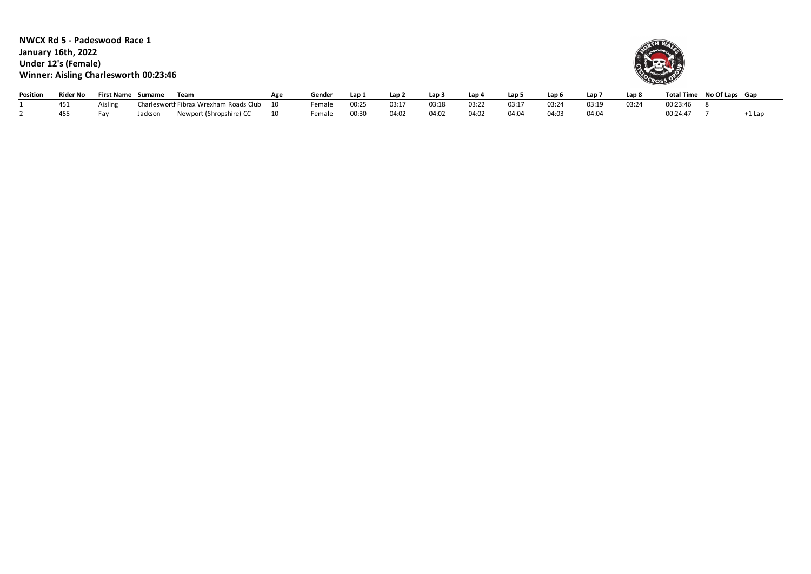**NWCX Rd 5 - Padeswood Race 1 January 16th, 2022 Under 12's (Female) Winner: Aisling Charlesworth 00:23:46**



| Position | <b>Rider No</b> | <b>First Name</b>   | Surname | Team                                 | Gender | Lan   | Lap 2 | Lan   | Lap 4 | Lap   | Lap 6 | Lap   | Lap & | <b>Total Time</b> | No Of Laps Gap |       |
|----------|-----------------|---------------------|---------|--------------------------------------|--------|-------|-------|-------|-------|-------|-------|-------|-------|-------------------|----------------|-------|
|          |                 | aislin <sup>,</sup> | Char    | arlesworth Fibrax Wrexham Roads Club | emale  | 0:25  | 03:17 | 03:18 | 03:22 | 03:17 | 03:24 | 03:19 | 03:2  | 00.23.46          |                |       |
|          | 455             | Fa                  | acksor  | Newport (Shropshire) CC              | ∶emale | 00:30 | 04:02 | 04:02 | 04:02 | 04:04 | 04:03 | 04:04 |       | 00:24:47          |                | ⊥ Lar |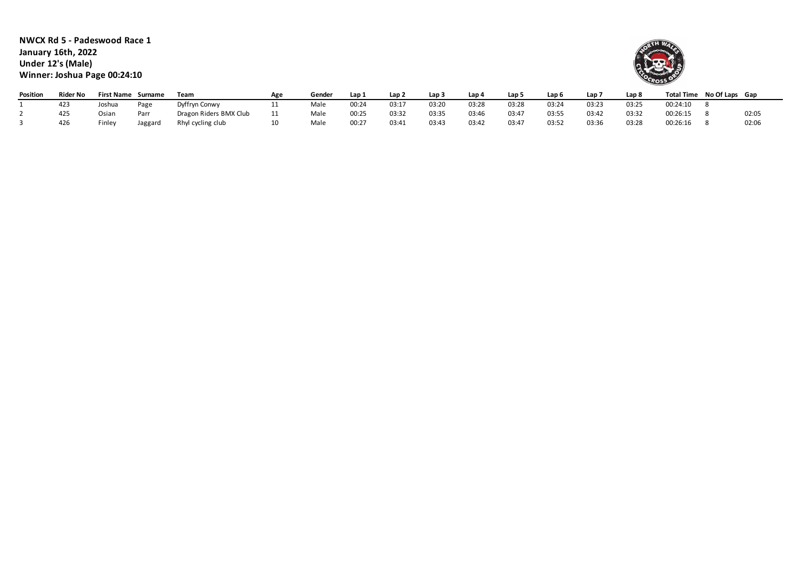**NWCX Rd 5 - Padeswood Race 1 January 16th, 2022 Under 12's (Male) Winner: Joshua Page 00:24:10**



| Position | Rider No |        | First Name Surname | Team                   | Agr | Gender | Lap 1      | Lap 2 | Lap 3 | Lap 4 | Lap 5 | Lap 6 | Lap 7 | Lap <sub>8</sub> |          | Total Time No Of Laps Gap |       |
|----------|----------|--------|--------------------|------------------------|-----|--------|------------|-------|-------|-------|-------|-------|-------|------------------|----------|---------------------------|-------|
|          | 423      | loshua | Page               | Dyffryn Conwy          |     | Male   | 00:24      | 03:1  | 03:20 | 03:28 | 03:28 | 03:24 | 03:23 | 03:25            | 00:24:10 |                           |       |
|          |          | Osiar  | Parr               | Dragon Riders BMX Club |     | Male   | 00:25      | 03:32 | 03:35 | 03:46 | 03:47 | 03:55 | 03:42 | 03:32            | 00:26:15 |                           | 02:05 |
|          |          | Finley | Jaggard            | Rhyl cycling club      |     | Male   | $00:2^{-}$ | 03:41 | 03:43 | 03:42 | 03:47 | 03:52 | 03:36 | 03:28            | 00:26:16 |                           | 02:06 |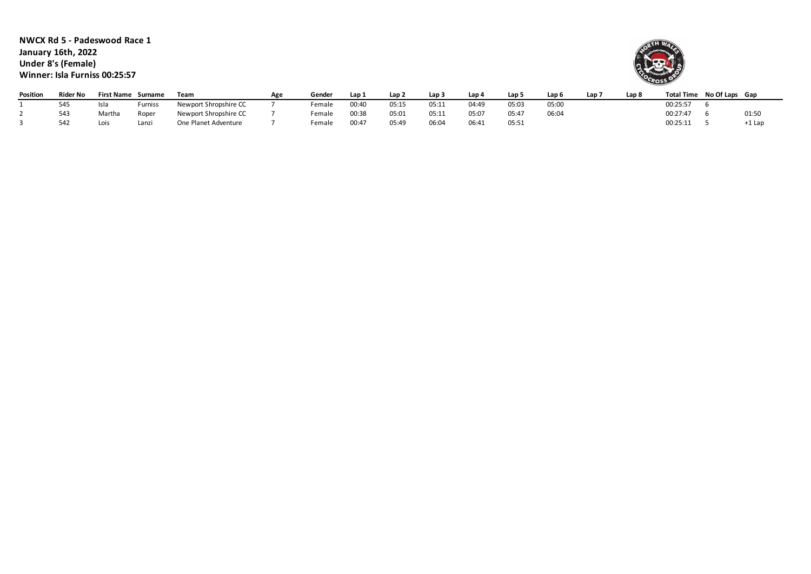**NWCX Rd 5 - Padeswood Race 1 January 16th, 2022 Under 8's (Female) Winner: Isla Furniss 00:25:57**



| <b>Position</b> | Rider No |        | <b>First Name Surname</b> | Team                  | Age | Gender | Lap 1      | Lap 2 | Lap <sub>3</sub> | Lap 4 | Lap 5 | Lap <sub>6</sub> | Lap i | Lap & | <b>Total Time</b> | No Of Laps Gap |       |
|-----------------|----------|--------|---------------------------|-----------------------|-----|--------|------------|-------|------------------|-------|-------|------------------|-------|-------|-------------------|----------------|-------|
|                 | 545      | -Isla  | Furniss                   | Newport Shropshire CC |     | Female | 00:40      | 05:15 | 05:11            | 04:49 | 05:03 | 05:00            |       |       | 00:25:57          |                |       |
|                 | 543      | Martha | Roper                     | Newport Shropshire CC |     | Female | 00:38      | 05:01 | 05:11            | 05:07 | 05:47 | 06:04            |       |       | 00:27:47          |                | 01:50 |
|                 | 542      | Lois   | Lanzi                     | One Planet Adventure  |     | Female | $00:4^{-}$ | 05:49 | 06:04            | 06:41 | 05:51 |                  |       |       | 00:25:11          |                | +1 La |